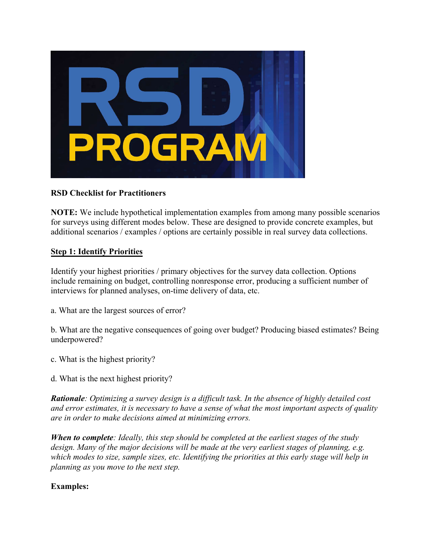

### **RSD Checklist for Practitioners**

**NOTE:** We include hypothetical implementation examples from among many possible scenarios for surveys using different modes below. These are designed to provide concrete examples, but additional scenarios / examples / options are certainly possible in real survey data collections.

### **Step 1: Identify Priorities**

Identify your highest priorities / primary objectives for the survey data collection. Options include remaining on budget, controlling nonresponse error, producing a sufficient number of interviews for planned analyses, on-time delivery of data, etc.

a. What are the largest sources of error?

b. What are the negative consequences of going over budget? Producing biased estimates? Being underpowered?

- c. What is the highest priority?
- d. What is the next highest priority?

*Rationale: Optimizing a survey design is a difficult task. In the absence of highly detailed cost and error estimates, it is necessary to have a sense of what the most important aspects of quality are in order to make decisions aimed at minimizing errors.*

*When to complete: Ideally, this step should be completed at the earliest stages of the study design. Many of the major decisions will be made at the very earliest stages of planning, e.g. which modes to size, sample sizes, etc. Identifying the priorities at this early stage will help in planning as you move to the next step.*

### **Examples:**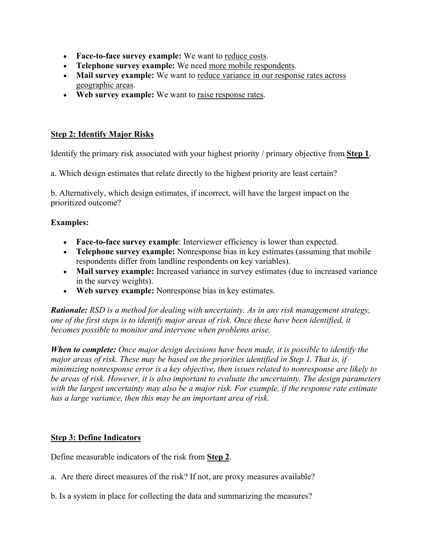- **Face-to-face survey example:** We want to reduce costs.
- **Telephone survey example:** We need more mobile respondents.
- **Mail survey example:** We want to reduce variance in our response rates across geographic areas.
- Web survey example: We want to <u>raise response rates</u>.

#### **Step 2: Identify Major Risks**

Identify the primary risk associated with your highest priority / primary objective from **Step 1**.

a. Which design estimates that relate directly to the highest priority are least certain?

b. Alternatively, which design estimates, if incorrect, will have the largest impact on the prioritized outcome?

#### **Examples:**

- **Face-to-face survey example**: Interviewer efficiency is lower than expected.
- **Telephone survey example:** Nonresponse bias in key estimates (assuming that mobile respondents differ from landline respondents on key variables).
- Mail survey example: Increased variance in survey estimates (due to increased variance in the survey weights).
- **Web survey example:** Nonresponse bias in key estimates.

*Rationale: RSD is a method for dealing with uncertainty. As in any risk management strategy, one of the first steps is to identify major areas of risk. Once these have been identified, it becomes possible to monitor and intervene when problems arise.*

*When to complete: Once major design decisions have been made, it is possible to identify the major areas of risk. These may be based on the priorities identified in Step 1. That is, if minimizing nonresponse error is a key objective, then issues related to nonresponse are likely to be areas of risk. However, it is also important to evaluate the uncertainty. The design parameters with the largest uncertainty may also be a major risk. For example, if the response rate estimate has a large variance, then this may be an important area of risk.*

### **Step 3: Define Indicators**

Define measurable indicators of the risk from **Step 2**.

- a. Are there direct measures of the risk? If not, are proxy measures available?
- b. Is a system in place for collecting the data and summarizing the measures?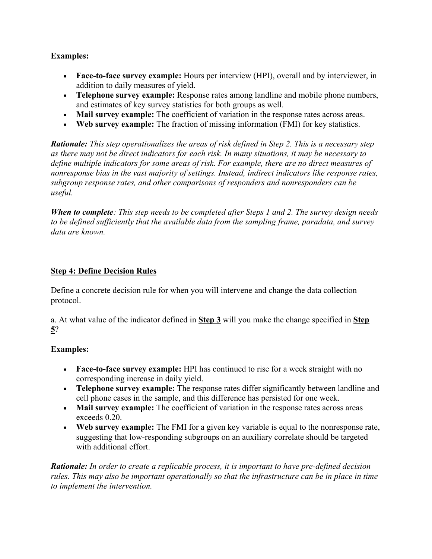### **Examples:**

- **Face-to-face survey example:** Hours per interview (HPI), overall and by interviewer, in addition to daily measures of yield.
- **Telephone survey example:** Response rates among landline and mobile phone numbers, and estimates of key survey statistics for both groups as well.
- **Mail survey example:** The coefficient of variation in the response rates across areas.
- **Web survey example:** The fraction of missing information (FMI) for key statistics.

*Rationale: This step operationalizes the areas of risk defined in Step 2. This is a necessary step as there may not be direct indicators for each risk. In many situations, it may be necessary to define multiple indicators for some areas of risk. For example, there are no direct measures of nonresponse bias in the vast majority of settings. Instead, indirect indicators like response rates, subgroup response rates, and other comparisons of responders and nonresponders can be useful.*

*When to complete: This step needs to be completed after Steps 1 and 2. The survey design needs to be defined sufficiently that the available data from the sampling frame, paradata, and survey data are known.*

### **Step 4: Define Decision Rules**

Define a concrete decision rule for when you will intervene and change the data collection protocol.

a. At what value of the indicator defined in **Step 3** will you make the change specified in **Step 5**?

# **Examples:**

- **Face-to-face survey example:** HPI has continued to rise for a week straight with no corresponding increase in daily yield.
- **Telephone survey example:** The response rates differ significantly between landline and cell phone cases in the sample, and this difference has persisted for one week.
- Mail survey example: The coefficient of variation in the response rates across areas exceeds 0.20.
- **Web survey example:** The FMI for a given key variable is equal to the nonresponse rate, suggesting that low-responding subgroups on an auxiliary correlate should be targeted with additional effort.

*Rationale: In order to create a replicable process, it is important to have pre-defined decision rules. This may also be important operationally so that the infrastructure can be in place in time to implement the intervention.*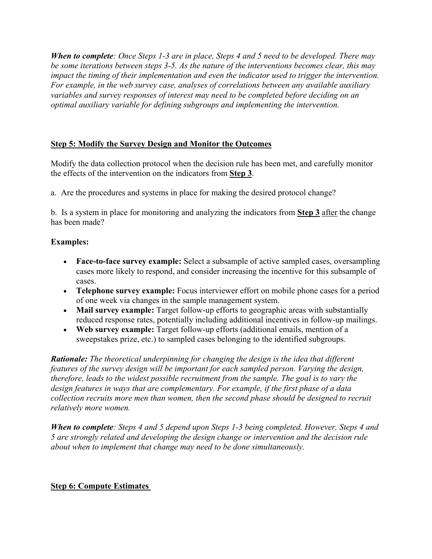*When to complete: Once Steps 1-3 are in place, Steps 4 and 5 need to be developed. There may be some iterations between steps 3-5. As the nature of the interventions becomes clear, this may impact the timing of their implementation and even the indicator used to trigger the intervention. For example, in the web survey case, analyses of correlations between any available auxiliary variables and survey responses of interest may need to be completed before deciding on an optimal auxiliary variable for defining subgroups and implementing the intervention.*

# **Step 5: Modify the Survey Design and Monitor the Outcomes**

Modify the data collection protocol when the decision rule has been met, and carefully monitor the effects of the intervention on the indicators from **Step 3**.

a. Are the procedures and systems in place for making the desired protocol change?

b. Is a system in place for monitoring and analyzing the indicators from **Step 3** after the change has been made?

# **Examples:**

- **Face-to-face survey example:** Select a subsample of active sampled cases, oversampling cases more likely to respond, and consider increasing the incentive for this subsample of cases.
- **Telephone survey example:** Focus interviewer effort on mobile phone cases for a period of one week via changes in the sample management system.
- **Mail survey example:** Target follow-up efforts to geographic areas with substantially reduced response rates, potentially including additional incentives in follow-up mailings.
- **Web survey example:** Target follow-up efforts (additional emails, mention of a sweepstakes prize, etc.) to sampled cases belonging to the identified subgroups.

*Rationale: The theoretical underpinning for changing the design is the idea that different features of the survey design will be important for each sampled person. Varying the design, therefore, leads to the widest possible recruitment from the sample. The goal is to vary the design features in ways that are complementary. For example, if the first phase of a data collection recruits more men than women, then the second phase should be designed to recruit relatively more women.*

*When to complete: Steps 4 and 5 depend upon Steps 1-3 being completed. However, Steps 4 and 5 are strongly related and developing the design change or intervention and the decision rule about when to implement that change may need to be done simultaneously.*

# **Step 6: Compute Estimates**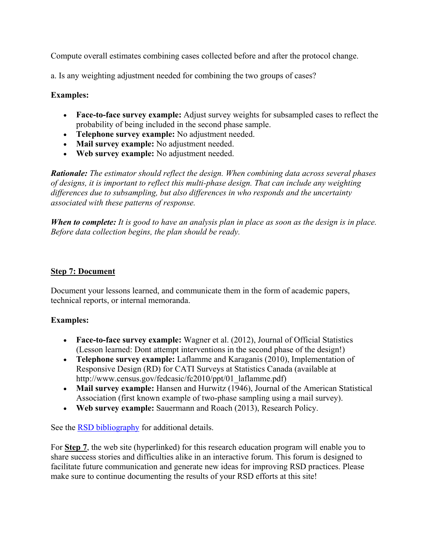Compute overall estimates combining cases collected before and after the protocol change.

a. Is any weighting adjustment needed for combining the two groups of cases?

### **Examples:**

- **Face-to-face survey example:** Adjust survey weights for subsampled cases to reflect the probability of being included in the second phase sample.
- **Telephone survey example:** No adjustment needed.
- **Mail survey example:** No adjustment needed.
- **Web survey example:** No adjustment needed.

*Rationale: The estimator should reflect the design. When combining data across several phases of designs, it is important to reflect this multi-phase design. That can include any weighting differences due to subsampling, but also differences in who responds and the uncertainty associated with these patterns of response.*

*When to complete: It is good to have an analysis plan in place as soon as the design is in place. Before data collection begins, the plan should be ready.*

### **Step 7: Document**

Document your lessons learned, and communicate them in the form of academic papers, technical reports, or internal memoranda.

### **Examples:**

- **Face-to-face survey example:** Wagner et al. (2012), Journal of Official Statistics (Lesson learned: Dont attempt interventions in the second phase of the design!)
- **Telephone survey example:** Laflamme and Karaganis (2010), Implementation of Responsive Design (RD) for CATI Surveys at Statistics Canada (available at http://www.census.gov/fedcasic/fc2010/ppt/01\_laflamme.pdf)
- Mail survey example: Hansen and Hurwitz (1946), Journal of the American Statistical Association (first known example of two-phase sampling using a mail survey).
- **Web survey example:** Sauermann and Roach (2013), Research Policy.

See the [RSD bibliography](https://rsdprogram.si.isr.umich.edu/local/staticpage/view.php?page=RSDBibDec_31_20) for additional details.

For **Step 7**, the web site (hyperlinked) for this research education program will enable you to share success stories and difficulties alike in an interactive forum. This forum is designed to facilitate future communication and generate new ideas for improving RSD practices. Please make sure to continue documenting the results of your RSD efforts at this site!